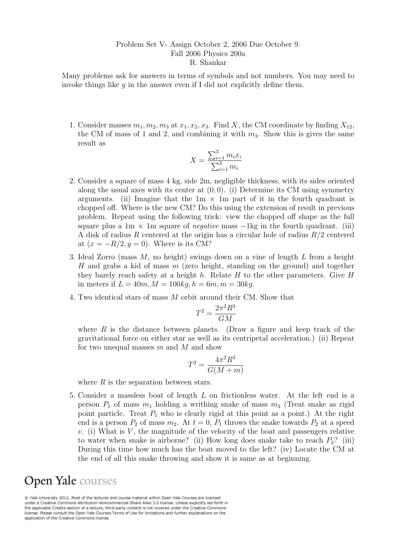## Problem Set V- Assign October 2, 2006 Due October 9. Fall 2006 Physics 200a R. Shankar

Many problems ask for answers in terms of symbols and not numbers. You may need to invoke things like  $q$  in the answer even if I did not explicitly define them.

1. Consider masses  $m_1, m_2, m_3$  at  $x_1, x_2, x_3$ . Find X, the CM coordinate by finding  $X_{12}$ , the CM of mass of 1 and 2, and combining it with  $m_3$ . Show this is gives the same result as

$$
X = \frac{\sum_{i=1}^{3} m_i x_i}{\sum_{i=1}^{3} m_i}
$$

- 2. Consider a square of mass 4 kg, side 2m, negligible thickness, with its sides oriented along the usual axes with its center at  $(0, 0)$ . (i) Determine its CM using symmetry arguments. (ii) Imagine that the  $1m \times 1m$  part of it in the fourth quadrant is chopped off. Where is the new CM? Do this using the extension of result in previous problem. Repeat using the following trick: view the chopped off shape as the full square plus a 1m  $\times$  1m square of *negative* mass  $-1$ kg in the fourth quadrant. (iii) A disk of radius R centered at the origin has a circular hole of radius  $R/2$  centered at  $(x = -R/2, y = 0)$ . Where is its CM?
- 3. Ideal Zorro (mass M, no height) swings down on a vine of length L from a height H and grabs a kid of mass  $m$  (zero height, standing on the ground) and together they barely reach safety at a height h. Relate  $H$  to the other parameters. Give  $H$ in meters if  $L = 40m$ ,  $M = 100kg$ ,  $h = 6m$ ,  $m = 30kg$ .
- 4. Two identical stars of mass M orbit around their CM. Show that

$$
T^2 = \frac{2\pi^2 R^3}{GM}
$$

where  $R$  is the distance between planets. (Draw a figure and keep track of the gravitational force on either star as well as its centripetal acceleration.) (ii) Repeat for two unequal masses  $m$  and  $M$  and show

$$
T^2 = \frac{4\pi^2 R^3}{G(M+m)}
$$

where  $R$  is the separation between stars.

5. Consider a massless boat of length L on frictionless water. At the left end is a person  $P_1$  of mass  $m_1$  holding a writhing snake of mass  $m_3$  (Treat snake as rigid point particle. Treat  $P_1$  who is clearly rigid at this point as a point.) At the right end is a person  $P_2$  of mass  $m_2$ . At  $t = 0$ ,  $P_1$  throws the snake towards  $P_2$  at a speed  $v.$  (i) What is  $V$ , the magnitude of the velocity of the boat and passengers relative to water when snake is airborne? (ii) How long does snake take to reach  $P_2$ ? (iii) During this time how much has the boat moved to the left? (iv) Locate the CM at the end of all this snake throwing and show it is same as at beginning.

## Open Yale courses

@ Yale University 2012. Most of the lectures and course material within Open Yale Courses are licensed under a Creative Commons Attribution-Noncommercial-Share Alike 3.0 license. Unless explicitly set forth in the applicable Credits section of a lecture, third-party content is not covered under the Creative Commons license. Please consult the Open Yale Courses Terms of Use for limitations and further explanations on the application of the Creative Commons license.